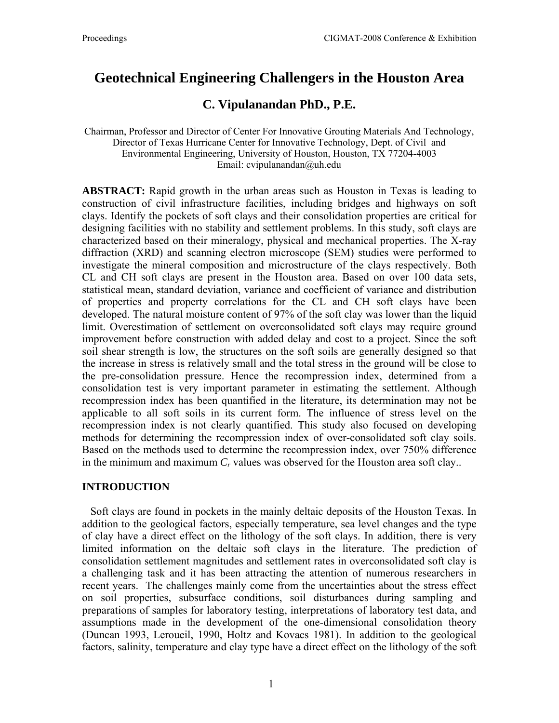# **Geotechnical Engineering Challengers in the Houston Area**

# **C. Vipulanandan PhD., P.E.**

Chairman, Professor and Director of Center For Innovative Grouting Materials And Technology, Director of Texas Hurricane Center for Innovative Technology, Dept. of Civil and Environmental Engineering, University of Houston, Houston, TX 77204-4003 Email: cvipulanandan@uh.edu

**ABSTRACT:** Rapid growth in the urban areas such as Houston in Texas is leading to construction of civil infrastructure facilities, including bridges and highways on soft clays. Identify the pockets of soft clays and their consolidation properties are critical for designing facilities with no stability and settlement problems. In this study, soft clays are characterized based on their mineralogy, physical and mechanical properties. The X-ray diffraction (XRD) and scanning electron microscope (SEM) studies were performed to investigate the mineral composition and microstructure of the clays respectively. Both CL and CH soft clays are present in the Houston area. Based on over 100 data sets, statistical mean, standard deviation, variance and coefficient of variance and distribution of properties and property correlations for the CL and CH soft clays have been developed. The natural moisture content of 97% of the soft clay was lower than the liquid limit. Overestimation of settlement on overconsolidated soft clays may require ground improvement before construction with added delay and cost to a project. Since the soft soil shear strength is low, the structures on the soft soils are generally designed so that the increase in stress is relatively small and the total stress in the ground will be close to the pre-consolidation pressure. Hence the recompression index, determined from a consolidation test is very important parameter in estimating the settlement. Although recompression index has been quantified in the literature, its determination may not be applicable to all soft soils in its current form. The influence of stress level on the recompression index is not clearly quantified. This study also focused on developing methods for determining the recompression index of over-consolidated soft clay soils. Based on the methods used to determine the recompression index, over 750% difference in the minimum and maximum  $C_r$  values was observed for the Houston area soft clay..

# **INTRODUCTION**

 Soft clays are found in pockets in the mainly deltaic deposits of the Houston Texas. In addition to the geological factors, especially temperature, sea level changes and the type of clay have a direct effect on the lithology of the soft clays. In addition, there is very limited information on the deltaic soft clays in the literature. The prediction of consolidation settlement magnitudes and settlement rates in overconsolidated soft clay is a challenging task and it has been attracting the attention of numerous researchers in recent years. The challenges mainly come from the uncertainties about the stress effect on soil properties, subsurface conditions, soil disturbances during sampling and preparations of samples for laboratory testing, interpretations of laboratory test data, and assumptions made in the development of the one-dimensional consolidation theory (Duncan 1993, Leroueil, 1990, Holtz and Kovacs 1981). In addition to the geological factors, salinity, temperature and clay type have a direct effect on the lithology of the soft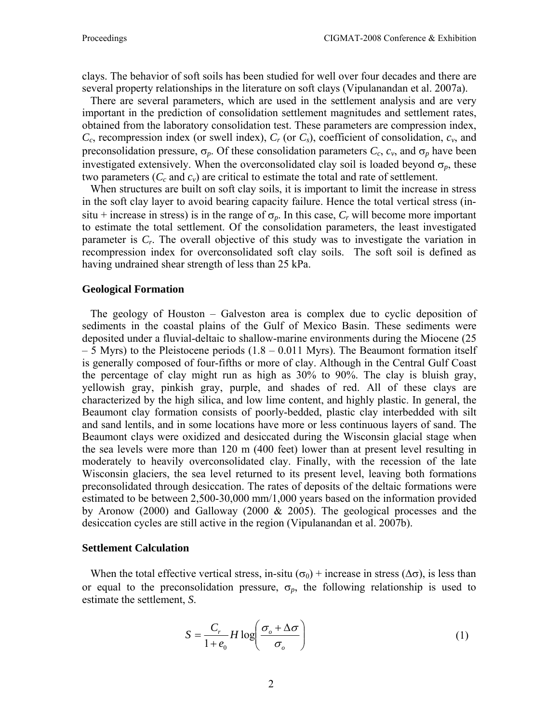clays. The behavior of soft soils has been studied for well over four decades and there are several property relationships in the literature on soft clays (Vipulanandan et al. 2007a).

 There are several parameters, which are used in the settlement analysis and are very important in the prediction of consolidation settlement magnitudes and settlement rates, obtained from the laboratory consolidation test. These parameters are compression index, *Cc*, recompression index (or swell index), *Cr* (or *Cs*), coefficient of consolidation, *cv*, and preconsolidation pressure,  $\sigma_p$ . Of these consolidation parameters  $C_c$ ,  $c_v$ , and  $\sigma_p$  have been investigated extensively. When the overconsolidated clay soil is loaded beyond  $\sigma_p$ , these two parameters  $(C_c \text{ and } c_v)$  are critical to estimate the total and rate of settlement.

 When structures are built on soft clay soils, it is important to limit the increase in stress in the soft clay layer to avoid bearing capacity failure. Hence the total vertical stress (insitu + increase in stress) is in the range of  $\sigma_p$ . In this case,  $C_r$  will become more important to estimate the total settlement. Of the consolidation parameters, the least investigated parameter is *Cr*. The overall objective of this study was to investigate the variation in recompression index for overconsolidated soft clay soils. The soft soil is defined as having undrained shear strength of less than 25 kPa.

#### **Geological Formation**

 The geology of Houston – Galveston area is complex due to cyclic deposition of sediments in the coastal plains of the Gulf of Mexico Basin. These sediments were deposited under a fluvial-deltaic to shallow-marine environments during the Miocene (25  $-5$  Myrs) to the Pleistocene periods  $(1.8 - 0.011)$  Myrs). The Beaumont formation itself is generally composed of four-fifths or more of clay. Although in the Central Gulf Coast the percentage of clay might run as high as 30% to 90%. The clay is bluish gray, yellowish gray, pinkish gray, purple, and shades of red. All of these clays are characterized by the high silica, and low lime content, and highly plastic. In general, the Beaumont clay formation consists of poorly-bedded, plastic clay interbedded with silt and sand lentils, and in some locations have more or less continuous layers of sand. The Beaumont clays were oxidized and desiccated during the Wisconsin glacial stage when the sea levels were more than 120 m (400 feet) lower than at present level resulting in moderately to heavily overconsolidated clay. Finally, with the recession of the late Wisconsin glaciers, the sea level returned to its present level, leaving both formations preconsolidated through desiccation. The rates of deposits of the deltaic formations were estimated to be between 2,500-30,000 mm/1,000 years based on the information provided by Aronow (2000) and Galloway (2000 & 2005). The geological processes and the desiccation cycles are still active in the region (Vipulanandan et al. 2007b).

#### **Settlement Calculation**

When the total effective vertical stress, in-situ ( $\sigma_0$ ) + increase in stress ( $\Delta \sigma$ ), is less than or equal to the preconsolidation pressure,  $\sigma_p$ , the following relationship is used to estimate the settlement, *S*.

$$
S = \frac{C_r}{1 + e_0} H \log \left( \frac{\sigma_o + \Delta \sigma}{\sigma_o} \right)
$$
 (1)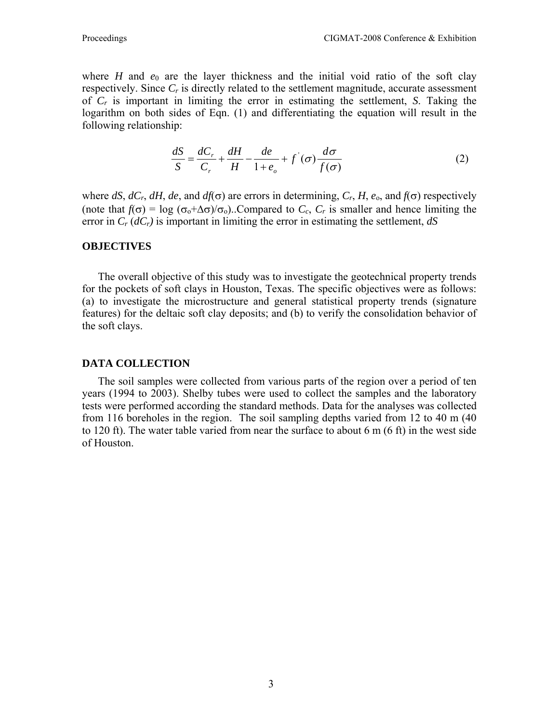where *H* and  $e_0$  are the layer thickness and the initial void ratio of the soft clay respectively. Since  $C_r$  is directly related to the settlement magnitude, accurate assessment of *Cr* is important in limiting the error in estimating the settlement, *S*. Taking the logarithm on both sides of Eqn. (1) and differentiating the equation will result in the following relationship:

$$
\frac{dS}{S} = \frac{dC_r}{C_r} + \frac{dH}{H} - \frac{de}{1 + e_o} + f'(\sigma)\frac{d\sigma}{f(\sigma)}
$$
(2)

where  $dS$ ,  $dC_r$ ,  $dH$ ,  $de$ , and  $df(\sigma)$  are errors in determining,  $C_r$ ,  $H$ ,  $e_0$ , and  $f(\sigma)$  respectively (note that  $f(\sigma) = \log (\sigma_0 + \Delta \sigma)/\sigma_0$ )..Compared to  $C_c$ ,  $C_r$  is smaller and hence limiting the error in  $C_r$  ( $dC_r$ ) is important in limiting the error in estimating the settlement,  $dS$ 

#### **OBJECTIVES**

The overall objective of this study was to investigate the geotechnical property trends for the pockets of soft clays in Houston, Texas. The specific objectives were as follows: (a) to investigate the microstructure and general statistical property trends (signature features) for the deltaic soft clay deposits; and (b) to verify the consolidation behavior of the soft clays.

### **DATA COLLECTION**

The soil samples were collected from various parts of the region over a period of ten years (1994 to 2003). Shelby tubes were used to collect the samples and the laboratory tests were performed according the standard methods. Data for the analyses was collected from 116 boreholes in the region. The soil sampling depths varied from 12 to 40 m (40 to 120 ft). The water table varied from near the surface to about 6 m (6 ft) in the west side of Houston.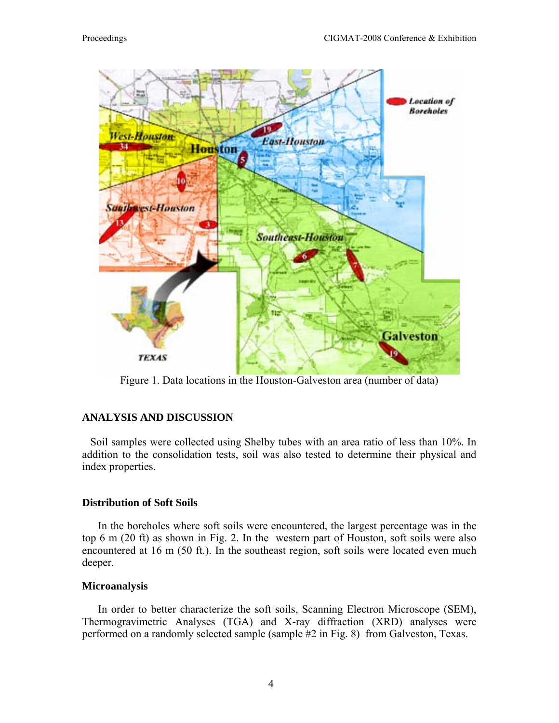

Figure 1. Data locations in the Houston-Galveston area (number of data)

# **ANALYSIS AND DISCUSSION**

 Soil samples were collected using Shelby tubes with an area ratio of less than 10%. In addition to the consolidation tests, soil was also tested to determine their physical and index properties.

# **Distribution of Soft Soils**

In the boreholes where soft soils were encountered, the largest percentage was in the top 6 m (20 ft) as shown in Fig. 2. In the western part of Houston, soft soils were also encountered at 16 m (50 ft.). In the southeast region, soft soils were located even much deeper.

### **Microanalysis**

In order to better characterize the soft soils, Scanning Electron Microscope (SEM), Thermogravimetric Analyses (TGA) and X-ray diffraction (XRD) analyses were performed on a randomly selected sample (sample #2 in Fig. 8) from Galveston, Texas.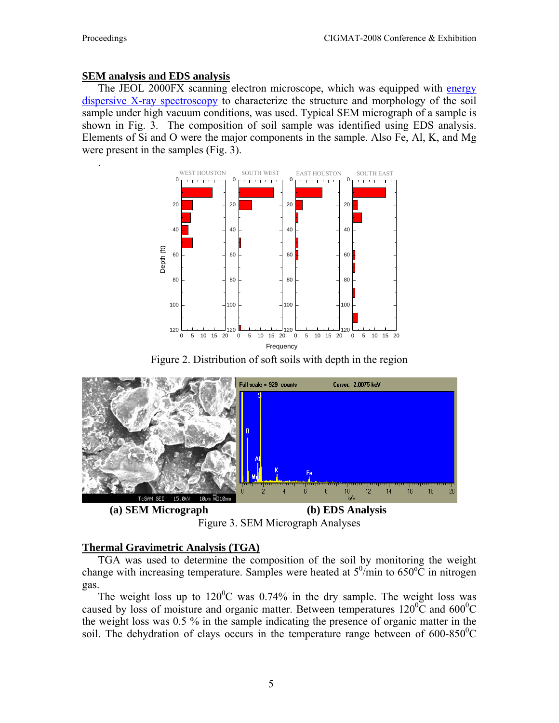.

# **SEM analysis and EDS analysis**

The JEOL 2000FX scanning electron microscope, which was equipped with [energy](http://en.wikipedia.org/wiki/Energy_dispersive_X-ray_spectroscopy)  [dispersive X-ray spectroscopy](http://en.wikipedia.org/wiki/Energy_dispersive_X-ray_spectroscopy) to characterize the structure and morphology of the soil sample under high vacuum conditions, was used. Typical SEM micrograph of a sample is shown in Fig. 3. The composition of soil sample was identified using EDS analysis. Elements of Si and O were the major components in the sample. Also Fe, Al, K, and Mg were present in the samples (Fig. 3).



Figure 2. Distribution of soft soils with depth in the region



**(a) SEM Micrograph (b) EDS Analysis**  Figure 3. SEM Micrograph Analyses

# **Thermal Gravimetric Analysis (TGA)**

TGA was used to determine the composition of the soil by monitoring the weight change with increasing temperature. Samples were heated at  $5^0$ /min to  $650^{\circ}$ C in nitrogen gas.

The weight loss up to  $120^{\circ}$ C was 0.74% in the dry sample. The weight loss was caused by loss of moisture and organic matter. Between temperatures  $120^{\circ}$ C and  $600^{\circ}$ C the weight loss was 0.5 % in the sample indicating the presence of organic matter in the soil. The dehydration of clays occurs in the temperature range between of  $600-850^{\circ}$ C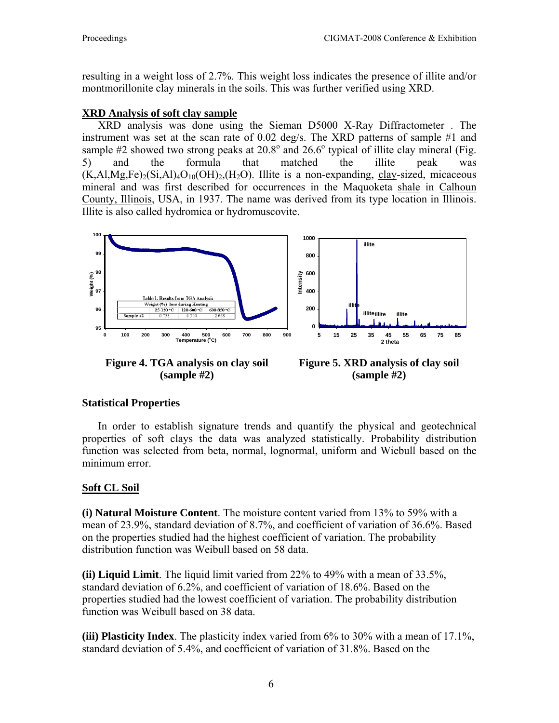resulting in a weight loss of 2.7%. This weight loss indicates the presence of illite and/or montmorillonite clay minerals in the soils. This was further verified using XRD.

# **XRD Analysis of soft clay sample**

XRD analysis was done using the Sieman D5000 X-Ray Diffractometer . The instrument was set at the scan rate of 0.02 deg/s. The XRD patterns of sample #1 and sample  $#2$  showed two strong peaks at  $20.8^{\circ}$  and  $26.6^{\circ}$  typical of illite clay mineral (Fig. 5) and the formula that matched the illite peak was  $(K, A1, Mg, Fe)_2(Si, A1)_4O_{10}(OH)_2$ ,  $(H_2O)$ . Illite is a non-expanding, [clay-](http://en.wikipedia.org/wiki/Clay)sized, micaceous mineral and was first described for occurrences in the Maquoketa [shale](http://en.wikipedia.org/wiki/Shale) in [Calhoun](http://en.wikipedia.org/wiki/Calhoun_County%2C_Illinois)  [County, Illinois](http://en.wikipedia.org/wiki/Calhoun_County%2C_Illinois), USA, in 1937. The name was derived from its type location in Illinois. Illite is also called hydromica or hydromuscovite.



**(sample #2)** 

**(sample #2)** 

# **Statistical Properties**

In order to establish signature trends and quantify the physical and geotechnical properties of soft clays the data was analyzed statistically. Probability distribution function was selected from beta, normal, lognormal, uniform and Wiebull based on the minimum error.

# **Soft CL Soil**

**(i) Natural Moisture Content**. The moisture content varied from 13% to 59% with a mean of 23.9%, standard deviation of 8.7%, and coefficient of variation of 36.6%. Based on the properties studied had the highest coefficient of variation. The probability distribution function was Weibull based on 58 data.

**(ii) Liquid Limit**. The liquid limit varied from 22% to 49% with a mean of 33.5%, standard deviation of 6.2%, and coefficient of variation of 18.6%. Based on the properties studied had the lowest coefficient of variation. The probability distribution function was Weibull based on 38 data.

**(iii) Plasticity Index**. The plasticity index varied from 6% to 30% with a mean of 17.1%, standard deviation of 5.4%, and coefficient of variation of 31.8%. Based on the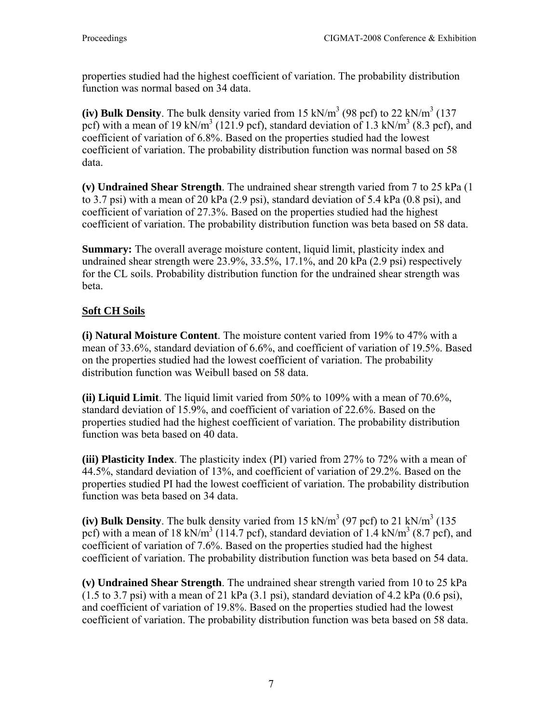properties studied had the highest coefficient of variation. The probability distribution function was normal based on 34 data.

(iv) Bulk Density. The bulk density varied from  $15 \text{ kN/m}^3$  (98 pcf) to  $22 \text{ kN/m}^3$  (137 pcf) with a mean of 19 kN/m<sup>3</sup> (121.9 pcf), standard deviation of 1.3 kN/m<sup>3</sup> (8.3 pcf), and coefficient of variation of 6.8%. Based on the properties studied had the lowest coefficient of variation. The probability distribution function was normal based on 58 data.

**(v) Undrained Shear Strength**. The undrained shear strength varied from 7 to 25 kPa (1 to 3.7 psi) with a mean of 20 kPa (2.9 psi), standard deviation of 5.4 kPa (0.8 psi), and coefficient of variation of 27.3%. Based on the properties studied had the highest coefficient of variation. The probability distribution function was beta based on 58 data.

**Summary:** The overall average moisture content, liquid limit, plasticity index and undrained shear strength were 23.9%, 33.5%, 17.1%, and 20 kPa (2.9 psi) respectively for the CL soils. Probability distribution function for the undrained shear strength was beta.

# **Soft CH Soils**

**(i) Natural Moisture Content**. The moisture content varied from 19% to 47% with a mean of 33.6%, standard deviation of 6.6%, and coefficient of variation of 19.5%. Based on the properties studied had the lowest coefficient of variation. The probability distribution function was Weibull based on 58 data.

**(ii) Liquid Limit**. The liquid limit varied from 50% to 109% with a mean of 70.6%, standard deviation of 15.9%, and coefficient of variation of 22.6%. Based on the properties studied had the highest coefficient of variation. The probability distribution function was beta based on 40 data.

**(iii) Plasticity Index**. The plasticity index (PI) varied from 27% to 72% with a mean of 44.5%, standard deviation of 13%, and coefficient of variation of 29.2%. Based on the properties studied PI had the lowest coefficient of variation. The probability distribution function was beta based on 34 data.

(iv) Bulk Density. The bulk density varied from  $15 \text{ kN/m}^3$  (97 pcf) to  $21 \text{ kN/m}^3$  (135 pcf) with a mean of 18 kN/m<sup>3</sup> (114.7 pcf), standard deviation of 1.4 kN/m<sup>3</sup> (8.7 pcf), and coefficient of variation of 7.6%. Based on the properties studied had the highest coefficient of variation. The probability distribution function was beta based on 54 data.

**(v) Undrained Shear Strength**. The undrained shear strength varied from 10 to 25 kPa  $(1.5 \text{ to } 3.7 \text{ psi})$  with a mean of 21 kPa  $(3.1 \text{ psi})$ , standard deviation of 4.2 kPa  $(0.6 \text{ psi})$ , and coefficient of variation of 19.8%. Based on the properties studied had the lowest coefficient of variation. The probability distribution function was beta based on 58 data.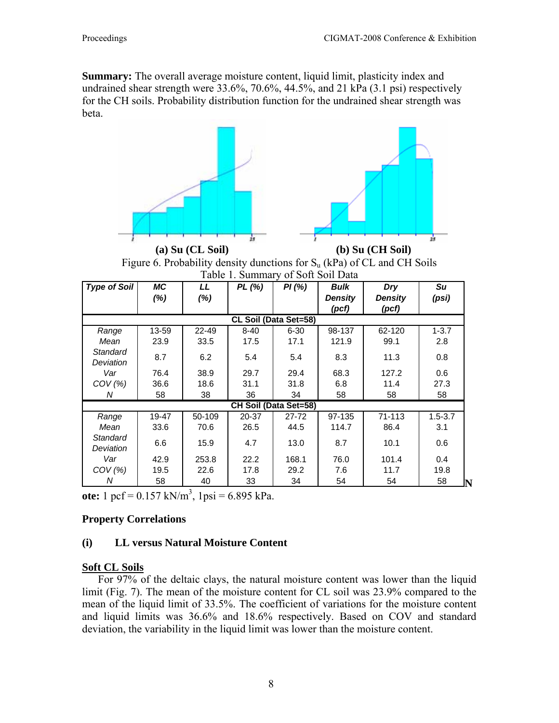**Summary:** The overall average moisture content, liquid limit, plasticity index and undrained shear strength were 33.6%, 70.6%, 44.5%, and 21 kPa (3.1 psi) respectively for the CH soils. Probability distribution function for the undrained shear strength was beta.







| <b>Type of Soil</b>   | МC    | LL     | PL(%)    | PI(%)     | <b>Bulk</b> | Dry     | Su          |  |  |  |  |
|-----------------------|-------|--------|----------|-----------|-------------|---------|-------------|--|--|--|--|
|                       | (%)   | $(\%)$ |          |           | Density     | Density | (psi)       |  |  |  |  |
|                       |       |        |          |           | (pcf)       | (pcf)   |             |  |  |  |  |
| CL Soil (Data Set=58) |       |        |          |           |             |         |             |  |  |  |  |
| Range                 | 13-59 | 22-49  | $8 - 40$ | $6 - 30$  | 98-137      | 62-120  | $1 - 3.7$   |  |  |  |  |
| Mean                  | 23.9  | 33.5   | 17.5     | 17.1      | 121.9       | 99.1    | 2.8         |  |  |  |  |
| Standard<br>Deviation | 8.7   | 6.2    | 5.4      | 5.4       | 8.3         | 11.3    | 0.8         |  |  |  |  |
| Var                   | 76.4  | 38.9   | 29.7     | 29.4      | 68.3        | 127.2   | 0.6         |  |  |  |  |
| $COV$ (%)             | 36.6  | 18.6   | 31.1     | 31.8      | 6.8         | 11.4    | 27.3        |  |  |  |  |
| Ν                     | 58    | 38     | 36       | 34        | 58          | 58      | 58          |  |  |  |  |
| CH Soil (Data Set=58) |       |        |          |           |             |         |             |  |  |  |  |
| Range                 | 19-47 | 50-109 | 20-37    | $27 - 72$ | 97-135      | 71-113  | $1.5 - 3.7$ |  |  |  |  |
| Mean                  | 33.6  | 70.6   | 26.5     | 44.5      | 114.7       | 86.4    | 3.1         |  |  |  |  |
| Standard<br>Deviation | 6.6   | 15.9   | 4.7      | 13.0      | 8.7         | 10.1    | 0.6         |  |  |  |  |
| Var                   | 42.9  | 253.8  | 22.2     | 168.1     | 76.0        | 101.4   | 0.4         |  |  |  |  |
| $COV$ (%)             | 19.5  | 22.6   | 17.8     | 29.2      | 7.6         | 11.7    | 19.8        |  |  |  |  |
| Ν                     | 58    | 40     | 33       | 34        | 54          | 54      | 58<br>IN    |  |  |  |  |

ote:  $1 \text{ pcf} = 0.157 \text{ kN/m}^3$ ,  $1 \text{ psi} = 6.895 \text{ kPa}$ .

# **Property Correlations**

# **(i) LL versus Natural Moisture Content**

### **Soft CL Soils**

For 97% of the deltaic clays, the natural moisture content was lower than the liquid limit (Fig. 7). The mean of the moisture content for CL soil was 23.9% compared to the mean of the liquid limit of 33.5%. The coefficient of variations for the moisture content and liquid limits was 36.6% and 18.6% respectively. Based on COV and standard deviation, the variability in the liquid limit was lower than the moisture content.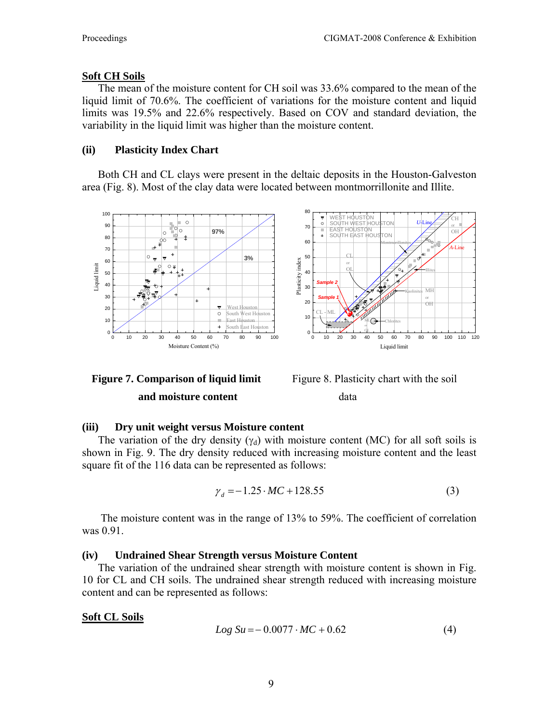# **Soft CH Soils**

The mean of the moisture content for CH soil was 33.6% compared to the mean of the liquid limit of 70.6%. The coefficient of variations for the moisture content and liquid limits was 19.5% and 22.6% respectively. Based on COV and standard deviation, the variability in the liquid limit was higher than the moisture content.

# **(ii) Plasticity Index Chart**

Both CH and CL clays were present in the deltaic deposits in the Houston-Galveston area (Fig. 8). Most of the clay data were located between montmorrillonite and Illite.





Figure 8. Plasticity chart with the soil data

# **(iii) Dry unit weight versus Moisture content**

The variation of the dry density  $(y_d)$  with moisture content (MC) for all soft soils is shown in Fig. 9. The dry density reduced with increasing moisture content and the least square fit of the 116 data can be represented as follows:

$$
\gamma_d = -1.25 \cdot MC + 128.55\tag{3}
$$

 The moisture content was in the range of 13% to 59%. The coefficient of correlation was 0.91.

# **(iv) Undrained Shear Strength versus Moisture Content**

The variation of the undrained shear strength with moisture content is shown in Fig. 10 for CL and CH soils. The undrained shear strength reduced with increasing moisture content and can be represented as follows:

# **Soft CL Soils**

$$
Log Su = -0.0077 \cdot MC + 0.62 \tag{4}
$$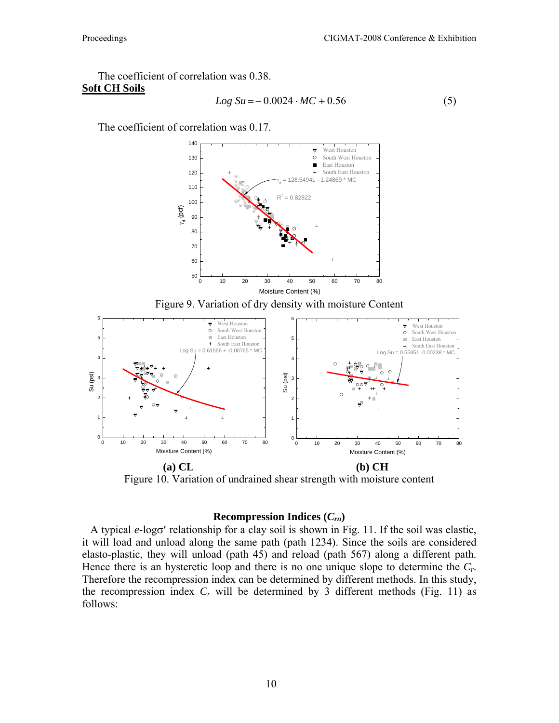The coefficient of correlation was 0.38. **Soft CH Soils**

$$
Log Su = -0.0024 \cdot MC + 0.56
$$
 (5)

The coefficient of correlation was 0.17.



**(a) CL (b) CH**  Figure 10. Variation of undrained shear strength with moisture content

#### **Recompression Indices (***Crn***)**

 A typical *e*-logσ′ relationship for a clay soil is shown in Fig. 11. If the soil was elastic, it will load and unload along the same path (path 1234). Since the soils are considered elasto-plastic, they will unload (path 45) and reload (path 567) along a different path. Hence there is an hysteretic loop and there is no one unique slope to determine the *Cr*. Therefore the recompression index can be determined by different methods. In this study, the recompression index  $C_r$  will be determined by 3 different methods (Fig. 11) as follows: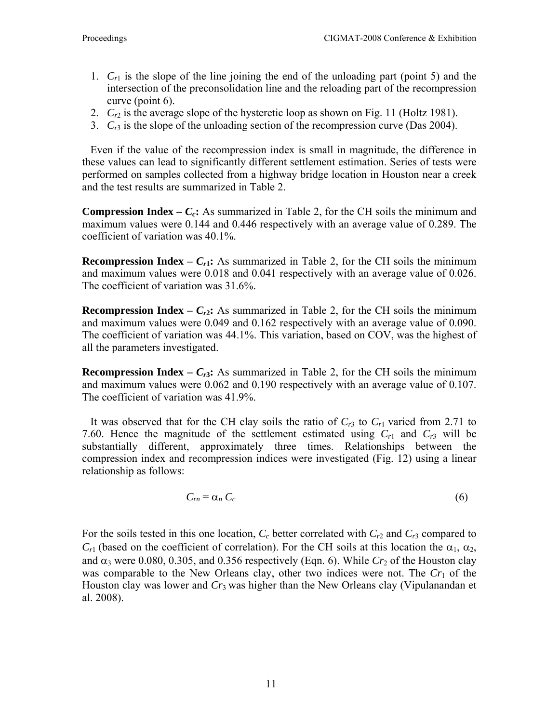- 1.  $C_{r1}$  is the slope of the line joining the end of the unloading part (point 5) and the intersection of the preconsolidation line and the reloading part of the recompression curve (point 6).
- 2. *Cr*2 is the average slope of the hysteretic loop as shown on Fig. 11 (Holtz 1981).
- 3. *Cr*3 is the slope of the unloading section of the recompression curve (Das 2004).

 Even if the value of the recompression index is small in magnitude, the difference in these values can lead to significantly different settlement estimation. Series of tests were performed on samples collected from a highway bridge location in Houston near a creek and the test results are summarized in Table 2.

**Compression Index –**  $C_c$ **:** As summarized in Table 2, for the CH soils the minimum and maximum values were 0.144 and 0.446 respectively with an average value of 0.289. The coefficient of variation was 40.1%.

**Recompression Index –**  $C_{r1}$ **:** As summarized in Table 2, for the CH soils the minimum and maximum values were 0.018 and 0.041 respectively with an average value of 0.026. The coefficient of variation was 31.6%.

**Recompression Index –**  $C_{r2}$ **:** As summarized in Table 2, for the CH soils the minimum and maximum values were 0.049 and 0.162 respectively with an average value of 0.090. The coefficient of variation was 44.1%. This variation, based on COV, was the highest of all the parameters investigated.

**Recompression Index –**  $C_{r3}$ **: As summarized in Table 2, for the CH soils the minimum** and maximum values were 0.062 and 0.190 respectively with an average value of 0.107. The coefficient of variation was 41.9%.

It was observed that for the CH clay soils the ratio of  $C_{r3}$  to  $C_{r1}$  varied from 2.71 to 7.60. Hence the magnitude of the settlement estimated using  $C_{r1}$  and  $C_{r3}$  will be substantially different, approximately three times. Relationships between the compression index and recompression indices were investigated (Fig. 12) using a linear relationship as follows:

 $C_m = \alpha_n C_c$  (6)

For the soils tested in this one location,  $C_c$  better correlated with  $C_{r2}$  and  $C_{r3}$  compared to  $C_{r1}$  (based on the coefficient of correlation). For the CH soils at this location the  $\alpha_1, \alpha_2,$ and  $\alpha_3$  were 0.080, 0.305, and 0.356 respectively (Eqn. 6). While  $Cr_2$  of the Houston clay was comparable to the New Orleans clay, other two indices were not. The  $Cr<sub>1</sub>$  of the Houston clay was lower and *Cr*3 was higher than the New Orleans clay (Vipulanandan et al. 2008).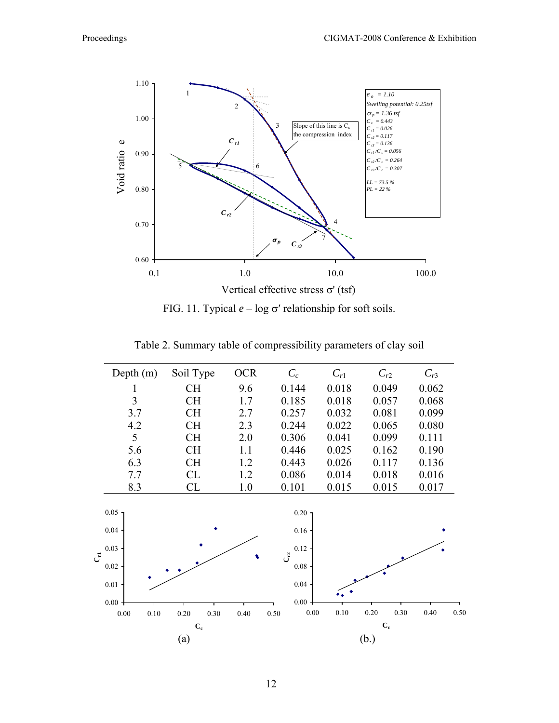

FIG. 11. Typical *e* – log σ′ relationship for soft soils.

| Depth $(m)$                                                           | Soil Type                 | <b>OCR</b> | $C_c$                                                                      | $C_{r1}$                  | $C_{r2}$         | $C_{r3}$     |  |  |  |
|-----------------------------------------------------------------------|---------------------------|------------|----------------------------------------------------------------------------|---------------------------|------------------|--------------|--|--|--|
| 1                                                                     | <b>CH</b>                 | 9.6        | 0.144                                                                      | 0.018                     | 0.049            | 0.062        |  |  |  |
| 3                                                                     | <b>CH</b>                 | 1.7        | 0.185                                                                      | 0.018                     | 0.057            | 0.068        |  |  |  |
| 3.7                                                                   | <b>CH</b>                 | 2.7        | 0.257                                                                      | 0.032                     | 0.081            | 0.099        |  |  |  |
| 4.2                                                                   | <b>CH</b>                 | 2.3        | 0.244                                                                      | 0.022                     | 0.065            | 0.080        |  |  |  |
| 5                                                                     | <b>CH</b>                 | 2.0        | 0.306                                                                      | 0.041                     | 0.099            | 0.111        |  |  |  |
| 5.6                                                                   | <b>CH</b>                 | 1.1        | 0.446                                                                      | 0.025                     | 0.162            | 0.190        |  |  |  |
| 6.3                                                                   | <b>CH</b>                 | 1.2        | 0.443                                                                      | 0.026                     | 0.117            | 0.136        |  |  |  |
| 7.7                                                                   | CL                        | 1.2        | 0.086                                                                      | 0.014                     | 0.018            | 0.016        |  |  |  |
| 8.3                                                                   | CL                        | 1.0        | 0.101                                                                      | 0.015                     | 0.015            | 0.017        |  |  |  |
| $0.05 -$<br>0.04<br>0.03<br>$\vec{C}$<br>0.02<br>$0.01 -$<br>$0.00 +$ |                           |            | $0.20 -$<br>0.16<br>0.12<br>$C_{\rm r2}^2$<br>$0.08\,$<br>0.04<br>$0.00 +$ |                           |                  |              |  |  |  |
| $0.00\,$<br>$0.10\,$                                                  | 0.30<br>0.20              | 0.40       | $0.00\,$<br>0.50                                                           | 0.10                      | $0.20\,$<br>0.30 | 0.40<br>0.50 |  |  |  |
|                                                                       | $\mathbf{C}_{\mathbf{c}}$ |            |                                                                            | $\mathbf{C}_{\mathbf{c}}$ |                  |              |  |  |  |
|                                                                       | (a)                       |            |                                                                            |                           | (b.)             |              |  |  |  |

Table 2. Summary table of compressibility parameters of clay soil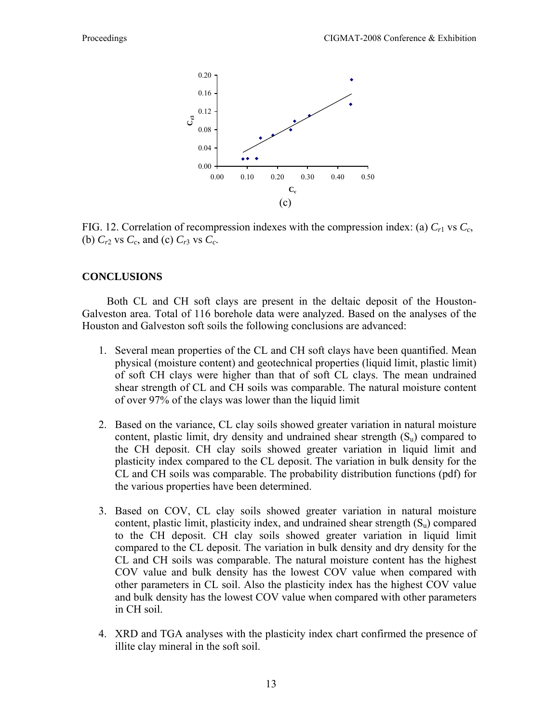

FIG. 12. Correlation of recompression indexes with the compression index: (a)  $C_{r1}$  vs  $C_c$ , (b)  $C_{r2}$  vs  $C_c$ , and (c)  $C_{r3}$  vs  $C_c$ .

# **CONCLUSIONS**

 Both CL and CH soft clays are present in the deltaic deposit of the Houston-Galveston area. Total of 116 borehole data were analyzed. Based on the analyses of the Houston and Galveston soft soils the following conclusions are advanced:

- 1. Several mean properties of the CL and CH soft clays have been quantified. Mean physical (moisture content) and geotechnical properties (liquid limit, plastic limit) of soft CH clays were higher than that of soft CL clays. The mean undrained shear strength of CL and CH soils was comparable. The natural moisture content of over 97% of the clays was lower than the liquid limit
- 2. Based on the variance, CL clay soils showed greater variation in natural moisture content, plastic limit, dry density and undrained shear strength  $(S<sub>u</sub>)$  compared to the CH deposit. CH clay soils showed greater variation in liquid limit and plasticity index compared to the CL deposit. The variation in bulk density for the CL and CH soils was comparable. The probability distribution functions (pdf) for the various properties have been determined.
- 3. Based on COV, CL clay soils showed greater variation in natural moisture content, plastic limit, plasticity index, and undrained shear strength  $(S_n)$  compared to the CH deposit. CH clay soils showed greater variation in liquid limit compared to the CL deposit. The variation in bulk density and dry density for the CL and CH soils was comparable. The natural moisture content has the highest COV value and bulk density has the lowest COV value when compared with other parameters in CL soil. Also the plasticity index has the highest COV value and bulk density has the lowest COV value when compared with other parameters in CH soil.
- 4. XRD and TGA analyses with the plasticity index chart confirmed the presence of illite clay mineral in the soft soil.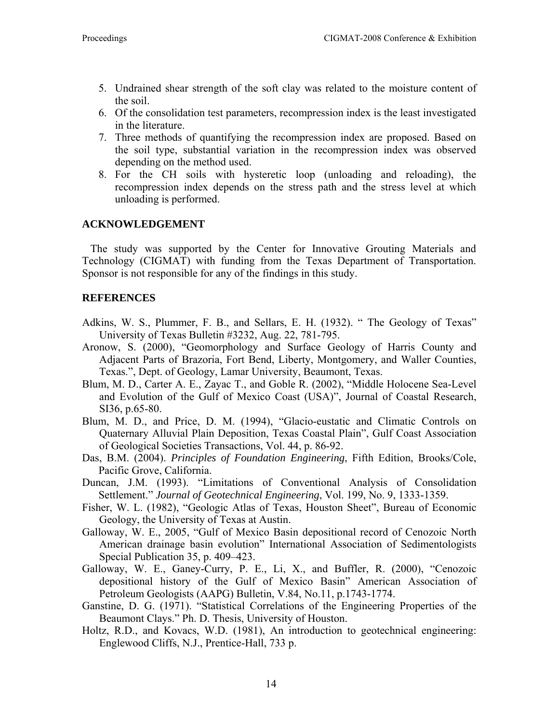- 5. Undrained shear strength of the soft clay was related to the moisture content of the soil.
- 6. Of the consolidation test parameters, recompression index is the least investigated in the literature.
- 7. Three methods of quantifying the recompression index are proposed. Based on the soil type, substantial variation in the recompression index was observed depending on the method used.
- 8. For the CH soils with hysteretic loop (unloading and reloading), the recompression index depends on the stress path and the stress level at which unloading is performed.

# **ACKNOWLEDGEMENT**

 The study was supported by the Center for Innovative Grouting Materials and Technology (CIGMAT) with funding from the Texas Department of Transportation. Sponsor is not responsible for any of the findings in this study.

# **REFERENCES**

- Adkins, W. S., Plummer, F. B., and Sellars, E. H. (1932). "The Geology of Texas" University of Texas Bulletin #3232, Aug. 22, 781-795.
- Aronow, S. (2000), "Geomorphology and Surface Geology of Harris County and Adjacent Parts of Brazoria, Fort Bend, Liberty, Montgomery, and Waller Counties, Texas.", Dept. of Geology, Lamar University, Beaumont, Texas.
- Blum, M. D., Carter A. E., Zayac T., and Goble R. (2002), "Middle Holocene Sea-Level and Evolution of the Gulf of Mexico Coast (USA)", Journal of Coastal Research, SI36, p.65-80.
- Blum, M. D., and Price, D. M. (1994), "Glacio-eustatic and Climatic Controls on Quaternary Alluvial Plain Deposition, Texas Coastal Plain", Gulf Coast Association of Geological Societies Transactions, Vol. 44, p. 86-92.
- Das, B.M. (2004). *Principles of Foundation Engineering*, Fifth Edition, Brooks/Cole, Pacific Grove, California.
- Duncan, J.M. (1993). "Limitations of Conventional Analysis of Consolidation Settlement." *Journal of Geotechnical Engineering*, Vol. 199, No. 9, 1333-1359.
- Fisher, W. L. (1982), "Geologic Atlas of Texas, Houston Sheet", Bureau of Economic Geology, the University of Texas at Austin.
- Galloway, W. E., 2005, "Gulf of Mexico Basin depositional record of Cenozoic North American drainage basin evolution" International Association of Sedimentologists Special Publication 35, p. 409–423.
- Galloway, W. E., Ganey-Curry, P. E., Li, X., and Buffler, R. (2000), "Cenozoic depositional history of the Gulf of Mexico Basin" American Association of Petroleum Geologists (AAPG) Bulletin, V.84, No.11, p.1743-1774.
- Ganstine, D. G. (1971). "Statistical Correlations of the Engineering Properties of the Beaumont Clays." Ph. D. Thesis, University of Houston.
- Holtz, R.D., and Kovacs, W.D. (1981), An introduction to geotechnical engineering: Englewood Cliffs, N.J., Prentice-Hall, 733 p.